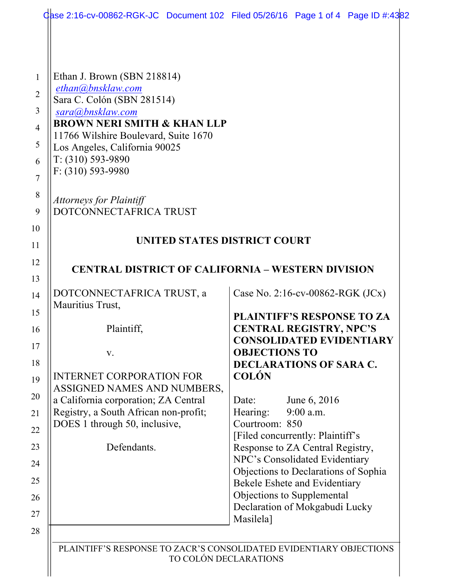| dase 2:16-cv-00862-RGK-JC Document 102 Filed 05/26/16 Page 1 of 4 Page ID #:4382             |                                                                        |  |  |
|----------------------------------------------------------------------------------------------|------------------------------------------------------------------------|--|--|
|                                                                                              |                                                                        |  |  |
| Ethan J. Brown (SBN 218814)                                                                  |                                                                        |  |  |
| ethan@bnsklaw.com                                                                            |                                                                        |  |  |
| Sara C. Colón (SBN 281514)<br>sara@bnsklaw.com                                               |                                                                        |  |  |
| <b>BROWN NERI SMITH &amp; KHAN LLP</b>                                                       |                                                                        |  |  |
| 11766 Wilshire Boulevard, Suite 1670<br>Los Angeles, California 90025<br>$T: (310) 593-9890$ |                                                                        |  |  |
|                                                                                              |                                                                        |  |  |
|                                                                                              |                                                                        |  |  |
| <b>Attorneys for Plaintiff</b><br>DOTCONNECTAFRICA TRUST                                     |                                                                        |  |  |
|                                                                                              |                                                                        |  |  |
| UNITED STATES DISTRICT COURT                                                                 |                                                                        |  |  |
|                                                                                              |                                                                        |  |  |
| <b>CENTRAL DISTRICT OF CALIFORNIA – WESTERN DIVISION</b>                                     |                                                                        |  |  |
| DOTCONNECTAFRICA TRUST, a                                                                    | Case No. 2:16-cv-00862-RGK $(JCx)$                                     |  |  |
| Mauritius Trust,                                                                             |                                                                        |  |  |
| Plaintiff,                                                                                   | <b>PLAINTIFF'S RESPONSE TO ZA</b><br><b>CENTRAL REGISTRY, NPC'S</b>    |  |  |
|                                                                                              | <b>CONSOLIDATED EVIDENTIARY</b>                                        |  |  |
| V.                                                                                           | <b>OBJECTIONS TO</b>                                                   |  |  |
| <b>INTERNET CORPORATION FOR</b>                                                              | <b>DECLARATIONS OF SARA C.</b><br><b>COLÓN</b>                         |  |  |
| ASSIGNED NAMES AND NUMBERS,                                                                  |                                                                        |  |  |
| a California corporation; ZA Central                                                         | June 6, 2016<br>Date:                                                  |  |  |
| Registry, a South African non-profit;<br>DOES 1 through 50, inclusive,                       | $9:00$ a.m.<br>Hearing:<br>Courtroom: 850                              |  |  |
|                                                                                              | [Filed concurrently: Plaintiff's                                       |  |  |
| Defendants.                                                                                  | Response to ZA Central Registry,                                       |  |  |
|                                                                                              | NPC's Consolidated Evidentiary<br>Objections to Declarations of Sophia |  |  |
|                                                                                              | Bekele Eshete and Evidentiary                                          |  |  |
|                                                                                              | Objections to Supplemental<br>Declaration of Mokgabudi Lucky           |  |  |
|                                                                                              | Masilela]                                                              |  |  |
|                                                                                              |                                                                        |  |  |
| PLAINTIFF'S RESPONSE TO ZACR'S CONSOLIDATED EVIDENTIARY OBJECTIONS                           |                                                                        |  |  |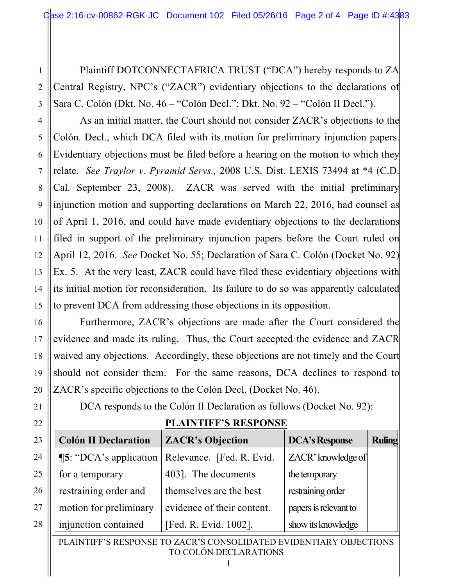Plaintiff DOTCONNECTAFRICA TRUST ("DCA") hereby responds to ZA Central Registry, NPC's ("ZACR") evidentiary objections to the declarations of Sara C. Colón (Dkt. No. 46 – "Colón Decl."; Dkt. No. 92 – "Colón II Decl.").

As an initial matter, the Court should not consider ZACR's objections to the Colón. Decl., which DCA filed with its motion for preliminary injunction papers. Evidentiary objections must be filed before a hearing on the motion to which they relate. *See Traylor v. Pyramid Servs.,* 2008 U.S. Dist. LEXIS 73494 at \*4 (C.D. Cal. September 23, 2008). ZACR was served with the initial preliminary injunction motion and supporting declarations on March 22, 2016, had counsel as of April 1, 2016, and could have made evidentiary objections to the declarations filed in support of the preliminary injunction papers before the Court ruled on April 12, 2016. *See* Docket No. 55; Declaration of Sara C. Colón (Docket No. 92) Ex. 5. At the very least, ZACR could have filed these evidentiary objections with its initial motion for reconsideration. Its failure to do so was apparently calculated to prevent DCA from addressing those objections in its opposition.

Furthermore, ZACR's objections are made after the Court considered the evidence and made its ruling. Thus, the Court accepted the evidence and ZACR waived any objections. Accordingly, these objections are not timely and the Court should not consider them. For the same reasons, DCA declines to respond to ZACR's specific objections to the Colón Decl. (Docket No. 46).

DCA responds to the Colón II Declaration as follows (Docket No. 92):

| <b>Colón II Declaration</b>    | <b>ZACR's Objection</b>    | <b>DCA's Response</b> | <b>Ruling</b> |  |
|--------------------------------|----------------------------|-----------------------|---------------|--|
| <b>[5</b> : "DCA's application | Relevance. [Fed. R. Evid.] | ZACR' knowledge of    |               |  |
| for a temporary                | 403]. The documents        | the temporary         |               |  |
| restraining order and          | themselves are the best    | restraining order     |               |  |
| motion for preliminary         | evidence of their content. | papers is relevant to |               |  |
| injunction contained           | [Fed. R. Evid. 1002].      | show its knowledge    |               |  |

## **PLAINTIFF'S RESPONSE**

PLAINTIFF'S RESPONSE TO ZACR'S CONSOLIDATED EVIDENTIARY OBJECTIONS TO COLÓN DECLARATIONS

1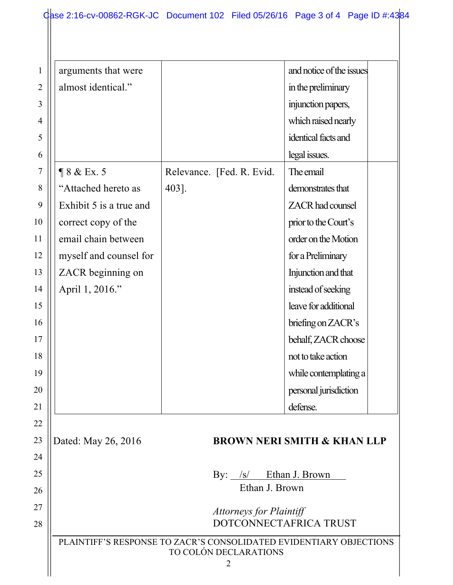| Qase 2:16-cv-00862-RGK-JC Document 102 Filed 05/26/16 Page 3 of 4 Page ID #:4384 |  |  |  |
|----------------------------------------------------------------------------------|--|--|--|
|                                                                                  |  |  |  |

| $\mathbf{1}$   | arguments that were                                                                         |                            | and notice of the issues               |  |  |
|----------------|---------------------------------------------------------------------------------------------|----------------------------|----------------------------------------|--|--|
| $\overline{2}$ | almost identical."                                                                          |                            | in the preliminary                     |  |  |
| 3              |                                                                                             |                            | injunction papers,                     |  |  |
| $\overline{4}$ |                                                                                             |                            | which raised nearly                    |  |  |
| 5              |                                                                                             |                            | identical facts and                    |  |  |
| 6              |                                                                                             |                            | legal issues.                          |  |  |
| 7              | $\P$ 8 & Ex. 5                                                                              | Relevance. [Fed. R. Evid.] | The email                              |  |  |
| 8              | "Attached hereto as                                                                         | 403].                      | demonstrates that                      |  |  |
| 9              | Exhibit 5 is a true and                                                                     |                            | ZACR had counsel                       |  |  |
| 10             | correct copy of the                                                                         |                            | prior to the Court's                   |  |  |
| 11             | email chain between                                                                         |                            | order on the Motion                    |  |  |
| 12             | myself and counsel for                                                                      |                            | for a Preliminary                      |  |  |
| 13             | ZACR beginning on                                                                           |                            | Injunction and that                    |  |  |
| 14             | April 1, 2016."                                                                             |                            | instead of seeking                     |  |  |
| 15             |                                                                                             |                            | leave for additional                   |  |  |
| 16             |                                                                                             |                            | briefing on ZACR's                     |  |  |
| 17             |                                                                                             |                            | behalf, ZACR choose                    |  |  |
| 18             |                                                                                             |                            | not to take action                     |  |  |
| 19             |                                                                                             |                            | while contemplating a                  |  |  |
| 20             |                                                                                             |                            | personal jurisdiction                  |  |  |
| 21             |                                                                                             |                            | defense.                               |  |  |
| 22             |                                                                                             |                            |                                        |  |  |
| 23             | Dated: May 26, 2016                                                                         |                            | <b>BROWN NERI SMITH &amp; KHAN LLP</b> |  |  |
| 24             |                                                                                             |                            |                                        |  |  |
| 25             | Ethan J. Brown<br>By: $/s/$                                                                 |                            |                                        |  |  |
| 26             | Ethan J. Brown                                                                              |                            |                                        |  |  |
| 27             | Attorneys for Plaintiff                                                                     |                            |                                        |  |  |
| 28             | DOTCONNECTAFRICA TRUST                                                                      |                            |                                        |  |  |
|                | PLAINTIFF'S RESPONSE TO ZACR'S CONSOLIDATED EVIDENTIARY OBJECTIONS<br>TO COLÓN DECLARATIONS |                            |                                        |  |  |
|                |                                                                                             | 2                          |                                        |  |  |
|                |                                                                                             |                            |                                        |  |  |